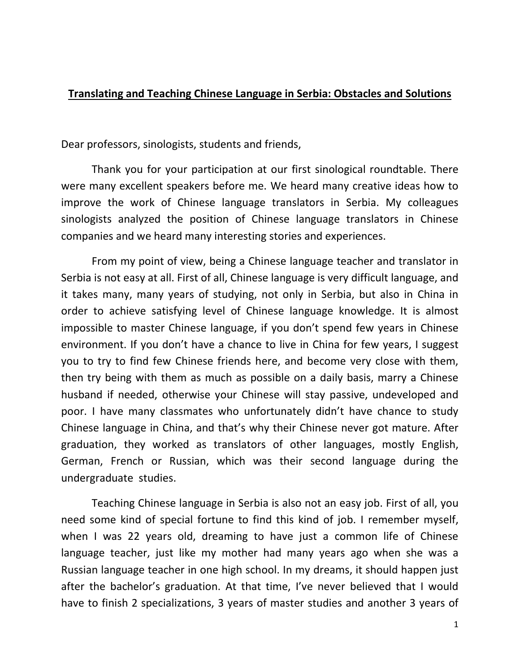## Translating and Teaching Chinese Language in Serbia: Obstacles and Solutions

Dear professors, sinologists, students and friends,

Thank you for your participation at our first sinological roundtable. There were many excellent speakers before me. We heard many creative ideas how to improve the work of Chinese language translators in Serbia. My colleagues sinologists analyzed the position of Chinese language translators in Chinese companies and we heard many interesting stories and experiences.

 From my point of view, being a Chinese language teacher and translator in Serbia is not easy at all. First of all, Chinese language is very difficult language, and it takes many, many years of studying, not only in Serbia, but also in China in order to achieve satisfying level of Chinese language knowledge. It is almost impossible to master Chinese language, if you don't spend few years in Chinese environment. If you don't have a chance to live in China for few years, I suggest you to try to find few Chinese friends here, and become very close with them, then try being with them as much as possible on a daily basis, marry a Chinese husband if needed, otherwise your Chinese will stay passive, undeveloped and poor. I have many classmates who unfortunately didn't have chance to study Chinese language in China, and that's why their Chinese never got mature. After graduation, they worked as translators of other languages, mostly English, German, French or Russian, which was their second language during the undergraduate studies.

 Teaching Chinese language in Serbia is also not an easy job. First of all, you need some kind of special fortune to find this kind of job. I remember myself, when I was 22 years old, dreaming to have just a common life of Chinese language teacher, just like my mother had many years ago when she was a Russian language teacher in one high school. In my dreams, it should happen just after the bachelor's graduation. At that time, I've never believed that I would have to finish 2 specializations, 3 years of master studies and another 3 years of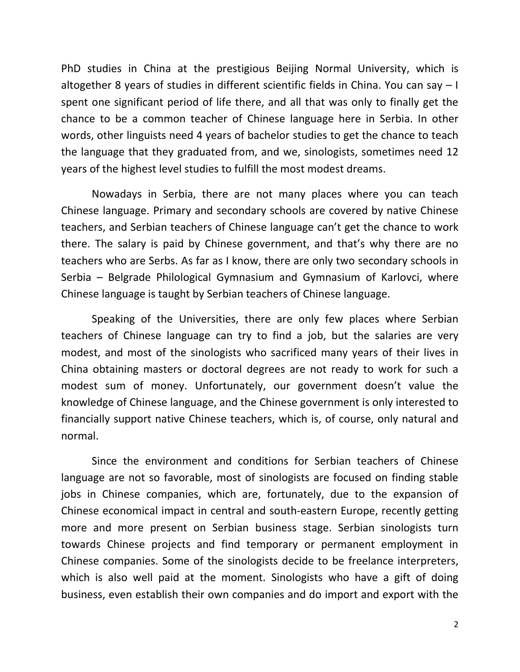PhD studies in China at the prestigious Beijing Normal University, which is altogether 8 years of studies in different scientific fields in China. You can say  $-1$ spent one significant period of life there, and all that was only to finally get the chance to be a common teacher of Chinese language here in Serbia. In other words, other linguists need 4 years of bachelor studies to get the chance to teach the language that they graduated from, and we, sinologists, sometimes need 12 years of the highest level studies to fulfill the most modest dreams.

Nowadays in Serbia, there are not many places where you can teach Chinese language. Primary and secondary schools are covered by native Chinese teachers, and Serbian teachers of Chinese language can't get the chance to work there. The salary is paid by Chinese government, and that's why there are no teachers who are Serbs. As far as I know, there are only two secondary schools in Serbia – Belgrade Philological Gymnasium and Gymnasium of Karlovci, where Chinese language is taught by Serbian teachers of Chinese language.

 Speaking of the Universities, there are only few places where Serbian teachers of Chinese language can try to find a job, but the salaries are very modest, and most of the sinologists who sacrificed many years of their lives in China obtaining masters or doctoral degrees are not ready to work for such a modest sum of money. Unfortunately, our government doesn't value the knowledge of Chinese language, and the Chinese government is only interested to financially support native Chinese teachers, which is, of course, only natural and normal.

 Since the environment and conditions for Serbian teachers of Chinese language are not so favorable, most of sinologists are focused on finding stable jobs in Chinese companies, which are, fortunately, due to the expansion of Chinese economical impact in central and south-eastern Europe, recently getting more and more present on Serbian business stage. Serbian sinologists turn towards Chinese projects and find temporary or permanent employment in Chinese companies. Some of the sinologists decide to be freelance interpreters, which is also well paid at the moment. Sinologists who have a gift of doing business, even establish their own companies and do import and export with the